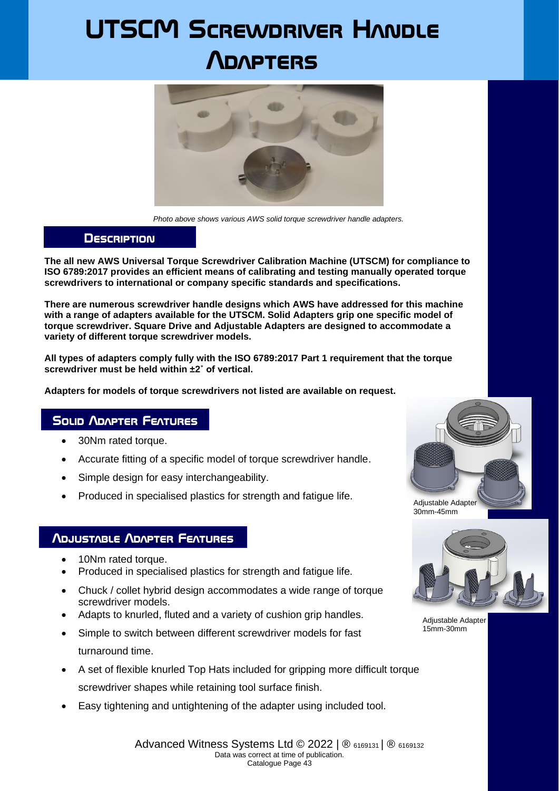# **UTSCM Screwdriver Handle Adapters**



*Photo above shows various AWS solid torque screwdriver handle adapters.*

#### **Description**

**The all new AWS Universal Torque Screwdriver Calibration Machine (UTSCM) for compliance to ISO 6789:2017 provides an efficient means of calibrating and testing manually operated torque screwdrivers to international or company specific standards and specifications.**

**There are numerous screwdriver handle designs which AWS have addressed for this machine with a range of adapters available for the UTSCM. Solid Adapters grip one specific model of torque screwdriver. Square Drive and Adjustable Adapters are designed to accommodate a variety of different torque screwdriver models.**

**All types of adapters comply fully with the ISO 6789:2017 Part 1 requirement that the torque screwdriver must be held within ±2˚ of vertical.**

**Adapters for models of torque screwdrivers not listed are available on request.**

#### **Solid Adapter Features**

- 30Nm rated torque.
- Accurate fitting of a specific model of torque screwdriver handle.
- Simple design for easy interchangeability.
- Produced in specialised plastics for strength and fatigue life.

### **Adjustable Adapter Features**

- 10Nm rated torque.
- Produced in specialised plastics for strength and fatigue life.
- Chuck / collet hybrid design accommodates a wide range of torque screwdriver models.
- Adapts to knurled, fluted and a variety of cushion grip handles.
- Simple to switch between different screwdriver models for fast turnaround time.
- A set of flexible knurled Top Hats included for gripping more difficult torque screwdriver shapes while retaining tool surface finish.
- Easy tightening and untightening of the adapter using included tool.





Adjustable Adapter 15mm-30mm

Advanced Witness Systems Ltd © 2022 | ® 6169131 | ® 6169132 Data was correct at time of publication. Catalogue Page 43